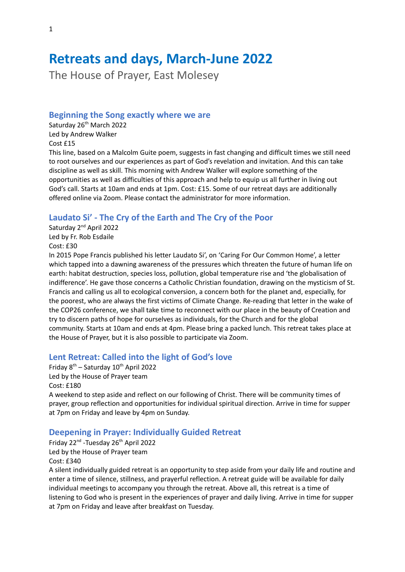# **Retreats and days, March-June 2022**

The House of Prayer, East Molesey

#### **Beginning the Song exactly where we are**

Saturday 26<sup>th</sup> March 2022 Led by Andrew Walker Cost £15

This line, based on a Malcolm Guite poem, suggests in fast changing and difficult times we still need to root ourselves and our experiences as part of God's revelation and invitation. And this can take discipline as well as skill. This morning with Andrew Walker will explore something of the opportunities as well as difficulties of this approach and help to equip us all further in living out God's call. Starts at 10am and ends at 1pm. Cost: £15. Some of our retreat days are additionally offered online via Zoom. Please contact the administrator for more information.

## **Laudato Si' - The Cry of the Earth and The Cry of the Poor**

Saturday 2<sup>nd</sup> April 2022 Led by Fr. Rob Esdaile Cost: £30

In 2015 Pope Francis published his letter Laudato Si', on 'Caring For Our Common Home', a letter which tapped into a dawning awareness of the pressures which threaten the future of human life on earth: habitat destruction, species loss, pollution, global temperature rise and 'the globalisation of indifference'. He gave those concerns a Catholic Christian foundation, drawing on the mysticism of St. Francis and calling us all to ecological conversion, a concern both for the planet and, especially, for the poorest, who are always the first victims of Climate Change. Re-reading that letter in the wake of the COP26 conference, we shall take time to reconnect with our place in the beauty of Creation and try to discern paths of hope for ourselves as individuals, for the Church and for the global community. Starts at 10am and ends at 4pm. Please bring a packed lunch. This retreat takes place at the House of Prayer, but it is also possible to participate via Zoom.

## **Lent Retreat: Called into the light of God's love**

Friday 8<sup>th</sup> – Saturday 10<sup>th</sup> April 2022 Led by the House of Prayer team Cost: £180 A weekend to step aside and reflect on our following of Christ. There will be community times of prayer, group reflection and opportunities for individual spiritual direction. Arrive in time for supper

at 7pm on Friday and leave by 4pm on Sunday.

## **Deepening in Prayer: Individually Guided Retreat**

Friday 22<sup>nd</sup> -Tuesday 26<sup>th</sup> April 2022 Led by the House of Prayer team Cost: £340

A silent individually guided retreat is an opportunity to step aside from your daily life and routine and enter a time of silence, stillness, and prayerful reflection. A retreat guide will be available for daily individual meetings to accompany you through the retreat. Above all, this retreat is a time of listening to God who is present in the experiences of prayer and daily living. Arrive in time for supper at 7pm on Friday and leave after breakfast on Tuesday.